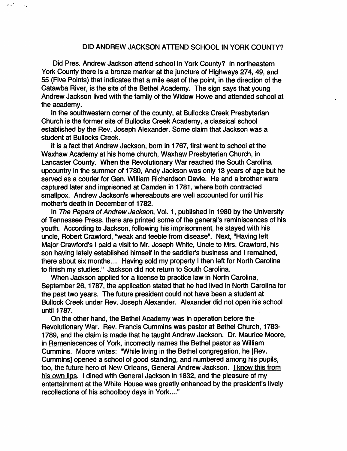## DID ANDREW JACKSON ATTEND SCHOOL IN YORK COUNTY?

Did Pres. Andrew Jackson attend school In York County? In northeastern York County there is a bronze marker at the juncture of Highways 274, 49, and 55 (Five Points) that Indicates that a mile east of the point. In the direction of the Catawba River, is the site of the Bethel Academy. The sign says that young Andrew Jackson lived with the family of the Widow Howe and attended school at the academy.

In the southwestern corner of the county, at Bullocks Creek Presbyterian Church Is the former site of Bullocks Creek Academy, a classical school established by the Rev. Joseph Alexander. Some claim that Jackson was a student at Bullocks Creek.

It is a fact that Andrew Jackson, born in 1767, first went to school at the Waxhaw Academy at his home church, Waxhaw Presbyterian Church, In Lancaster County. When the Revolutionary War reached the South Carolina upcountry in the summer of 1780, Andy Jackson was only 13 years of age but he served as a courier for Gen. William Richardson Davie. He and a brother were captured later and imprisoned at Camden in 1781, where both contracted smallpox. Andrew Jackson's whereabouts are well accounted for until his mother's death in December of 1782.

In The Papers of Andrew Jackson, Vol. 1, published in 1980 by the University of Tennessee Press, there are printed some of the general's reminiscences of his youth. According to Jackson, following his Imprisonment, he stayed with his uncle, Robert Crawford, "weak and feeble from disease". Next, "Having left Major Crawford's I paid a visit to Mr. Joseph White, Uncle to Mrs. Crawford, his son having lately established himself in the saddler's business and I remained, there about six months.... Having sold my property I then left for North Carolina to finish my studies." Jackson did not return to South Carolina.

When Jackson applied for a license to practice law in North Carolina, September 26, 1787, the application stated that he had lived in North Carolina for the past two years. The future president could not have been a student at Bullock Creek under Rev. Joseph Alexander. Alexander did not open his school until 1787.

On the other hand, the Bethel Academy was in operation before the Revolutionary War. Rev. Francis Cummins was pastor at Bethel Church, 1783- 1789, and the claim is made that he taught Andrew Jackson. Dr. Maurice Moore, in Remeniscences of York, incorrectly names the Bethel pastor as William Cummins. Moore writes: "While living in the Bethel congregation, he [Rev. Cummins] opened a school of good standing, and numbered among his pupils, too, the future hero of New Orleans, General Andrew Jackson. I know this from his own lips. I dined with General Jackson in 1832, and the pleasure of my entertainment at the White House was greatly enhanced by the president's lively recollections of his schoolboy days in York...."